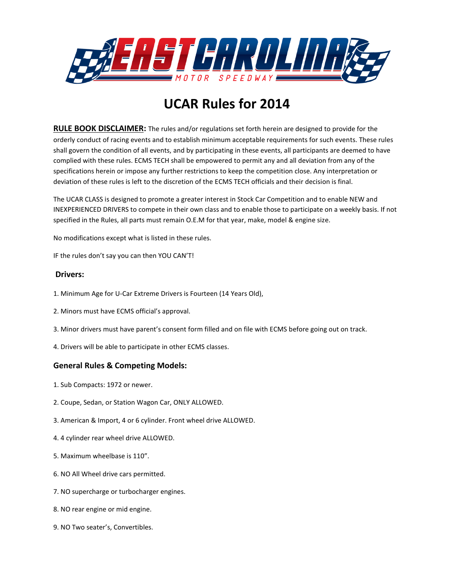

# **UCAR Rules for 2014**

**RULE BOOK DISCLAIMER:** The rules and/or regulations set forth herein are designed to provide for the orderly conduct of racing events and to establish minimum acceptable requirements for such events. These rules shall govern the condition of all events, and by participating in these events, all participants are deemed to have complied with these rules. ECMS TECH shall be empowered to permit any and all deviation from any of the specifications herein or impose any further restrictions to keep the competition close. Any interpretation or deviation of these rules is left to the discretion of the ECMS TECH officials and their decision is final.

The UCAR CLASS is designed to promote a greater interest in Stock Car Competition and to enable NEW and INEXPERIENCED DRIVERS to compete in their own class and to enable those to participate on a weekly basis. If not specified in the Rules, all parts must remain O.E.M for that year, make, model & engine size.

No modifications except what is listed in these rules.

IF the rules don't say you can then YOU CAN'T!

# **Drivers:**

- 1. Minimum Age for U-Car Extreme Drivers is Fourteen (14 Years Old),
- 2. Minors must have ECMS official's approval.
- 3. Minor drivers must have parent's consent form filled and on file with ECMS before going out on track.
- 4. Drivers will be able to participate in other ECMS classes.

# **General Rules & Competing Models:**

- 1. Sub Compacts: 1972 or newer.
- 2. Coupe, Sedan, or Station Wagon Car, ONLY ALLOWED.
- 3. American & Import, 4 or 6 cylinder. Front wheel drive ALLOWED.
- 4. 4 cylinder rear wheel drive ALLOWED.
- 5. Maximum wheelbase is 110".
- 6. NO All Wheel drive cars permitted.
- 7. NO supercharge or turbocharger engines.
- 8. NO rear engine or mid engine.
- 9. NO Two seater's, Convertibles.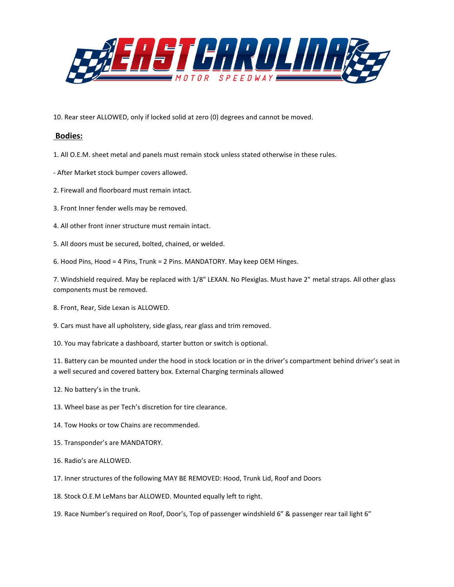

10. Rear steer ALLOWED, only if locked solid at zero (0) degrees and cannot be moved.

#### **Bodies:**

- 1. All O.E.M. sheet metal and panels must remain stock unless stated otherwise in these rules.
- After Market stock bumper covers allowed.
- 2. Firewall and floorboard must remain intact.
- 3. Front Inner fender wells may be removed.
- 4. All other front inner structure must remain intact.
- 5. All doors must be secured, bolted, chained, or welded.
- 6. Hood Pins, Hood = 4 Pins, Trunk = 2 Pins. MANDATORY. May keep OEM Hinges.

7. Windshield required. May be replaced with 1/8" LEXAN. No Plexiglas. Must have 2" metal straps. All other glass components must be removed.

- 8. Front, Rear, Side Lexan is ALLOWED.
- 9. Cars must have all upholstery, side glass, rear glass and trim removed.
- 10. You may fabricate a dashboard, starter button or switch is optional.

11. Battery can be mounted under the hood in stock location or in the driver's compartment behind driver's seat in a well secured and covered battery box. External Charging terminals allowed

- 12. No battery's in the trunk.
- 13. Wheel base as per Tech's discretion for tire clearance.
- 14. Tow Hooks or tow Chains are recommended.
- 15. Transponder's are MANDATORY.
- 16. Radio's are ALLOWED.
- 17. Inner structures of the following MAY BE REMOVED: Hood, Trunk Lid, Roof and Doors
- 18. Stock O.E.M LeMans bar ALLOWED. Mounted equally left to right.
- 19. Race Number's required on Roof, Door's, Top of passenger windshield 6" & passenger rear tail light 6"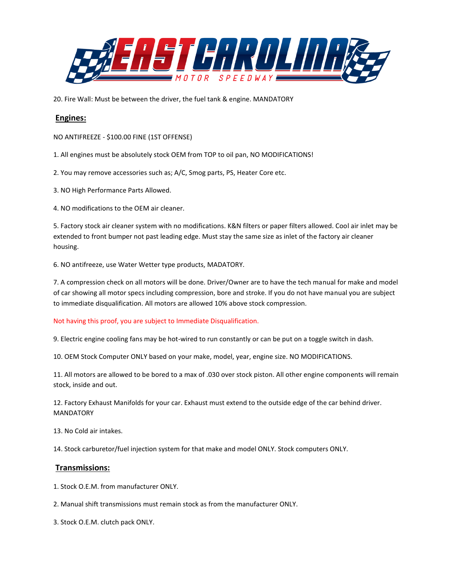

20. Fire Wall: Must be between the driver, the fuel tank & engine. MANDATORY

# **Engines:**

NO ANTIFREEZE - \$100.00 FINE (1ST OFFENSE)

- 1. All engines must be absolutely stock OEM from TOP to oil pan, NO MODIFICATIONS!
- 2. You may remove accessories such as; A/C, Smog parts, PS, Heater Core etc.
- 3. NO High Performance Parts Allowed.
- 4. NO modifications to the OEM air cleaner.

5. Factory stock air cleaner system with no modifications. K&N filters or paper filters allowed. Cool air inlet may be extended to front bumper not past leading edge. Must stay the same size as inlet of the factory air cleaner housing.

6. NO antifreeze, use Water Wetter type products, MADATORY.

7. A compression check on all motors will be done. Driver/Owner are to have the tech manual for make and model of car showing all motor specs including compression, bore and stroke. If you do not have manual you are subject to immediate disqualification. All motors are allowed 10% above stock compression.

#### Not having this proof, you are subject to Immediate Disqualification.

9. Electric engine cooling fans may be hot-wired to run constantly or can be put on a toggle switch in dash.

10. OEM Stock Computer ONLY based on your make, model, year, engine size. NO MODIFICATIONS.

11. All motors are allowed to be bored to a max of .030 over stock piston. All other engine components will remain stock, inside and out.

12. Factory Exhaust Manifolds for your car. Exhaust must extend to the outside edge of the car behind driver. MANDATORY

13. No Cold air intakes.

14. Stock carburetor/fuel injection system for that make and model ONLY. Stock computers ONLY.

#### **Transmissions:**

- 1. Stock O.E.M. from manufacturer ONLY.
- 2. Manual shift transmissions must remain stock as from the manufacturer ONLY.
- 3. Stock O.E.M. clutch pack ONLY.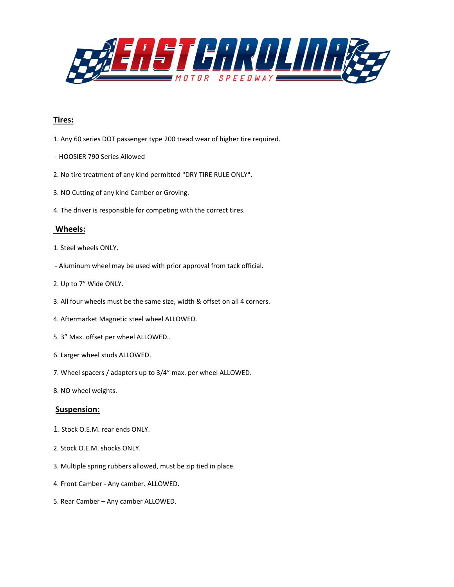

# **Tires:**

- 1. Any 60 series DOT passenger type 200 tread wear of higher tire required.
- HOOSIER 790 Series Allowed
- 2. No tire treatment of any kind permitted "DRY TIRE RULE ONLY".
- 3. NO Cutting of any kind Camber or Groving.
- 4. The driver is responsible for competing with the correct tires.

# **Wheels:**

- 1. Steel wheels ONLY.
- Aluminum wheel may be used with prior approval from tack official.
- 2. Up to 7" Wide ONLY.
- 3. All four wheels must be the same size, width & offset on all 4 corners.
- 4. Aftermarket Magnetic steel wheel ALLOWED.
- 5. 3" Max. offset per wheel ALLOWED..
- 6. Larger wheel studs ALLOWED.
- 7. Wheel spacers / adapters up to 3/4" max. per wheel ALLOWED.
- 8. NO wheel weights.

# **Suspension:**

- 1. Stock O.E.M. rear ends ONLY.
- 2. Stock O.E.M. shocks ONLY.
- 3. Multiple spring rubbers allowed, must be zip tied in place.
- 4. Front Camber Any camber. ALLOWED.
- 5. Rear Camber Any camber ALLOWED.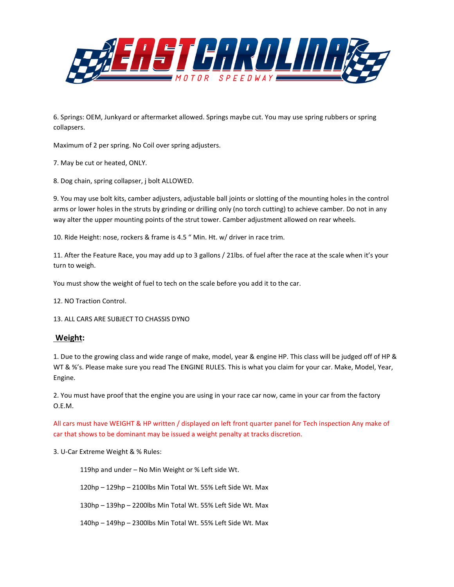

6. Springs: OEM, Junkyard or aftermarket allowed. Springs maybe cut. You may use spring rubbers or spring collapsers.

Maximum of 2 per spring. No Coil over spring adjusters.

7. May be cut or heated, ONLY.

8. Dog chain, spring collapser, j bolt ALLOWED.

9. You may use bolt kits, camber adjusters, adjustable ball joints or slotting of the mounting holes in the control arms or lower holes in the struts by grinding or drilling only (no torch cutting) to achieve camber. Do not in any way alter the upper mounting points of the strut tower. Camber adjustment allowed on rear wheels.

10. Ride Height: nose, rockers & frame is 4.5 " Min. Ht. w/ driver in race trim.

11. After the Feature Race, you may add up to 3 gallons / 21lbs. of fuel after the race at the scale when it's your turn to weigh.

You must show the weight of fuel to tech on the scale before you add it to the car.

12. NO Traction Control.

13. ALL CARS ARE SUBJECT TO CHASSIS DYNO

#### **Weight:**

1. Due to the growing class and wide range of make, model, year & engine HP. This class will be judged off of HP & WT & %'s. Please make sure you read The ENGINE RULES. This is what you claim for your car. Make, Model, Year, Engine.

2. You must have proof that the engine you are using in your race car now, came in your car from the factory O.E.M.

All cars must have WEIGHT & HP written / displayed on left front quarter panel for Tech inspection Any make of car that shows to be dominant may be issued a weight penalty at tracks discretion.

3. U-Car Extreme Weight & % Rules:

119hp and under – No Min Weight or % Left side Wt.

120hp – 129hp – 2100lbs Min Total Wt. 55% Left Side Wt. Max

130hp – 139hp – 2200lbs Min Total Wt. 55% Left Side Wt. Max

140hp – 149hp – 2300lbs Min Total Wt. 55% Left Side Wt. Max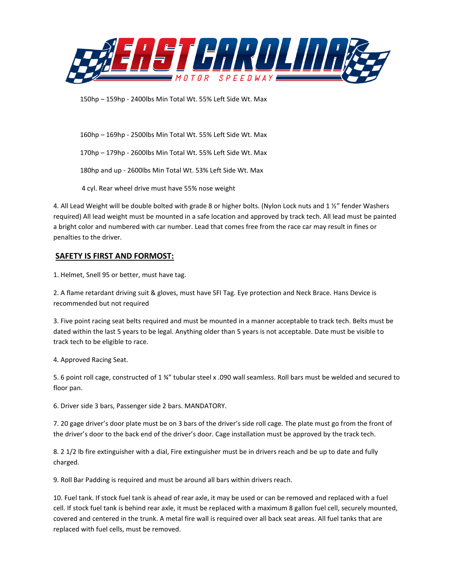

150hp – 159hp - 2400lbs Min Total Wt. 55% Left Side Wt. Max

160hp – 169hp - 2500lbs Min Total Wt. 55% Left Side Wt. Max 170hp – 179hp - 2600lbs Min Total Wt. 55% Left Side Wt. Max 180hp and up - 2600lbs Min Total Wt. 53% Left Side Wt. Max 4 cyl. Rear wheel drive must have 55% nose weight

4. All Lead Weight will be double bolted with grade 8 or higher bolts. (Nylon Lock nuts and 1 ½" fender Washers required) All lead weight must be mounted in a safe location and approved by track tech. All lead must be painted a bright color and numbered with car number. Lead that comes free from the race car may result in fines or penalties to the driver.

# **SAFETY IS FIRST AND FORMOST:**

1. Helmet, Snell 95 or better, must have tag.

2. A flame retardant driving suit & gloves, must have SFI Tag. Eye protection and Neck Brace. Hans Device is recommended but not required

3. Five point racing seat belts required and must be mounted in a manner acceptable to track tech. Belts must be dated within the last 5 years to be legal. Anything older than 5 years is not acceptable. Date must be visible to track tech to be eligible to race.

4. Approved Racing Seat.

5. 6 point roll cage, constructed of 1 ¾" tubular steel x .090 wall seamless. Roll bars must be welded and secured to floor pan.

6. Driver side 3 bars, Passenger side 2 bars. MANDATORY.

7. 20 gage driver's door plate must be on 3 bars of the driver's side roll cage. The plate must go from the front of the driver's door to the back end of the driver's door. Cage installation must be approved by the track tech.

8. 2 1/2 lb fire extinguisher with a dial, Fire extinguisher must be in drivers reach and be up to date and fully charged.

9. Roll Bar Padding is required and must be around all bars within drivers reach.

10. Fuel tank. If stock fuel tank is ahead of rear axle, it may be used or can be removed and replaced with a fuel cell. If stock fuel tank is behind rear axle, it must be replaced with a maximum 8 gallon fuel cell, securely mounted, covered and centered in the trunk. A metal fire wall is required over all back seat areas. All fuel tanks that are replaced with fuel cells, must be removed.